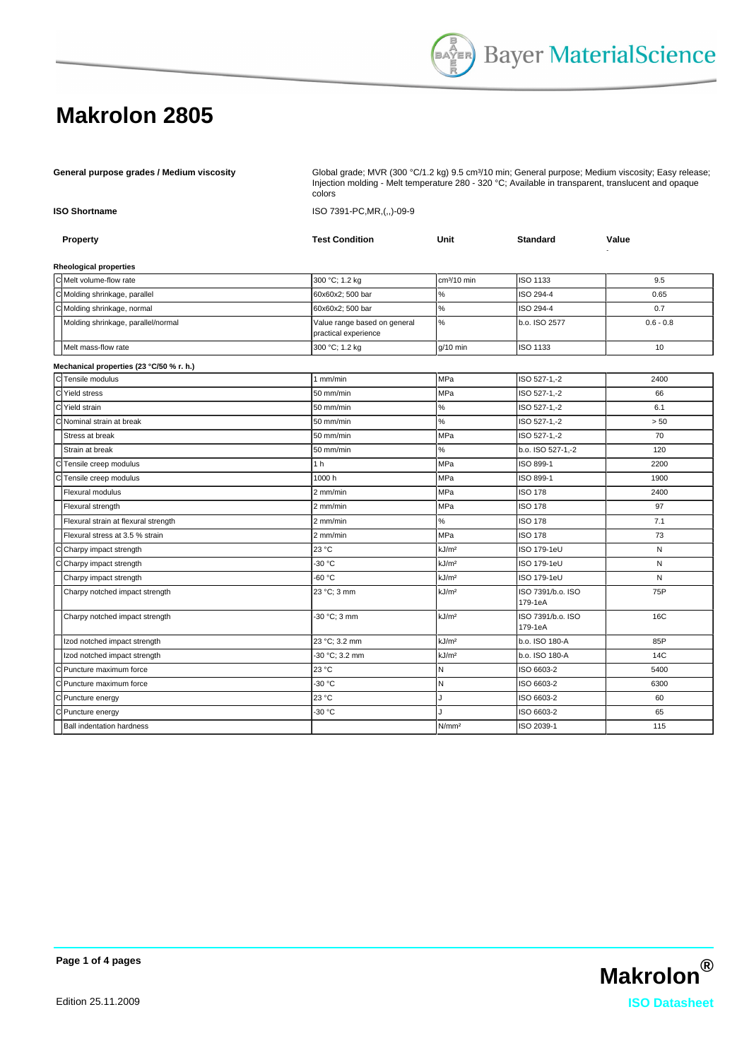|                      |                                          | Injection molding - Melt temperature 280 - 320 °C; Available in transparent, translucent and opaque<br>colors |                         |                              |             |  |  |
|----------------------|------------------------------------------|---------------------------------------------------------------------------------------------------------------|-------------------------|------------------------------|-------------|--|--|
| <b>ISO Shortname</b> |                                          | ISO 7391-PC, MR, (,,)-09-9                                                                                    |                         |                              |             |  |  |
|                      | Property                                 | <b>Test Condition</b>                                                                                         | Unit                    | <b>Standard</b>              | Value       |  |  |
|                      | <b>Rheological properties</b>            |                                                                                                               |                         |                              |             |  |  |
|                      | C Melt volume-flow rate                  | 300 °C; 1.2 kg                                                                                                | cm <sup>3</sup> /10 min | ISO 1133                     | 9.5         |  |  |
|                      | C Molding shrinkage, parallel            | 60x60x2; 500 bar                                                                                              | %                       | ISO 294-4                    | 0.65        |  |  |
|                      | C Molding shrinkage, normal              | 60x60x2; 500 bar                                                                                              | %                       | ISO 294-4                    | 0.7         |  |  |
|                      | Molding shrinkage, parallel/normal       | Value range based on general<br>practical experience                                                          | %                       | b.o. ISO 2577                | $0.6 - 0.8$ |  |  |
|                      | Melt mass-flow rate                      | 300 °C; 1.2 kg                                                                                                | g/10 min                | ISO 1133                     | 10          |  |  |
|                      | Mechanical properties (23 °C/50 % r. h.) |                                                                                                               |                         |                              |             |  |  |
|                      | C Tensile modulus                        | $1$ mm/min                                                                                                    | <b>MPa</b>              | ISO 527-1,-2                 | 2400        |  |  |
|                      | C Yield stress                           | 50 mm/min                                                                                                     | MPa                     | ISO 527-1,-2                 | 66          |  |  |
|                      | C Yield strain                           | 50 mm/min                                                                                                     | %                       | ISO 527-1,-2                 | 6.1         |  |  |
|                      | Nominal strain at break                  | 50 mm/min                                                                                                     | %                       | ISO 527-1,-2                 | > 50        |  |  |
|                      | Stress at break                          | 50 mm/min                                                                                                     | <b>MPa</b>              | ISO 527-1.-2                 | 70          |  |  |
|                      | Strain at break                          | 50 mm/min                                                                                                     | %                       | b.o. ISO 527-1,-2            | 120         |  |  |
|                      | CTensile creep modulus                   | 1 <sub>h</sub>                                                                                                | MPa                     | ISO 899-1                    | 2200        |  |  |
|                      | Tensile creep modulus                    | 1000h                                                                                                         | MPa                     | ISO 899-1                    | 1900        |  |  |
|                      | Flexural modulus                         | 2 mm/min                                                                                                      | MPa                     | <b>ISO 178</b>               | 2400        |  |  |
|                      | Flexural strength                        | 2 mm/min                                                                                                      | MPa                     | <b>ISO 178</b>               | 97          |  |  |
|                      | Flexural strain at flexural strength     | 2 mm/min                                                                                                      | %                       | <b>ISO 178</b>               | 7.1         |  |  |
|                      | Flexural stress at 3.5 % strain          | 2 mm/min                                                                                                      | MPa                     | <b>ISO 178</b>               | 73          |  |  |
|                      | Charpy impact strength                   | 23 °C                                                                                                         | kJ/m <sup>2</sup>       | ISO 179-1eU                  | N           |  |  |
|                      | Charpy impact strength                   | -30 °C                                                                                                        | kJ/m <sup>2</sup>       | ISO 179-1eU                  | N           |  |  |
|                      | Charpy impact strength                   | $-60 °C$                                                                                                      | kJ/m <sup>2</sup>       | ISO 179-1eU                  | N           |  |  |
|                      | Charpy notched impact strength           | 23 °C; 3 mm                                                                                                   | kJ/m <sup>2</sup>       | ISO 7391/b.o. ISO<br>179-1eA | 75P         |  |  |
|                      | Charpy notched impact strength           | 30 °C; 3 mm                                                                                                   | kJ/m <sup>2</sup>       | ISO 7391/b.o. ISO<br>179-1eA | 16C         |  |  |
|                      | Izod notched impact strength             | 23 °C; 3.2 mm                                                                                                 | kJ/m <sup>2</sup>       | b.o. ISO 180-A               | 85P         |  |  |
|                      | Izod notched impact strength             | 30 °C; 3.2 mm                                                                                                 | kJ/m <sup>2</sup>       | b.o. ISO 180-A               | 14C         |  |  |
|                      | Puncture maximum force                   | 23 °C                                                                                                         | Ν                       | ISO 6603-2                   | 5400        |  |  |
|                      | Puncture maximum force                   | -30 °C                                                                                                        | N                       | ISO 6603-2                   | 6300        |  |  |
|                      | Puncture energy                          | 23 °C                                                                                                         | J.                      | ISO 6603-2                   | 60          |  |  |
|                      | Puncture energy                          | -30 °C                                                                                                        | л                       | ISO 6603-2                   | 65          |  |  |
|                      | <b>Ball indentation hardness</b>         |                                                                                                               | N/mm <sup>2</sup>       | ISO 2039-1                   | 115         |  |  |

General purpose grades / Medium viscosity **Grade:** Global grade; MVR (300 °C/1.2 kg) 9.5 cm<sup>3</sup>/10 min; General purpose; Medium viscosity; Easy release;

**Page 1 of 4 pages**

**Makrolon®** Edition 25.11.2009 **ISO Datasheet**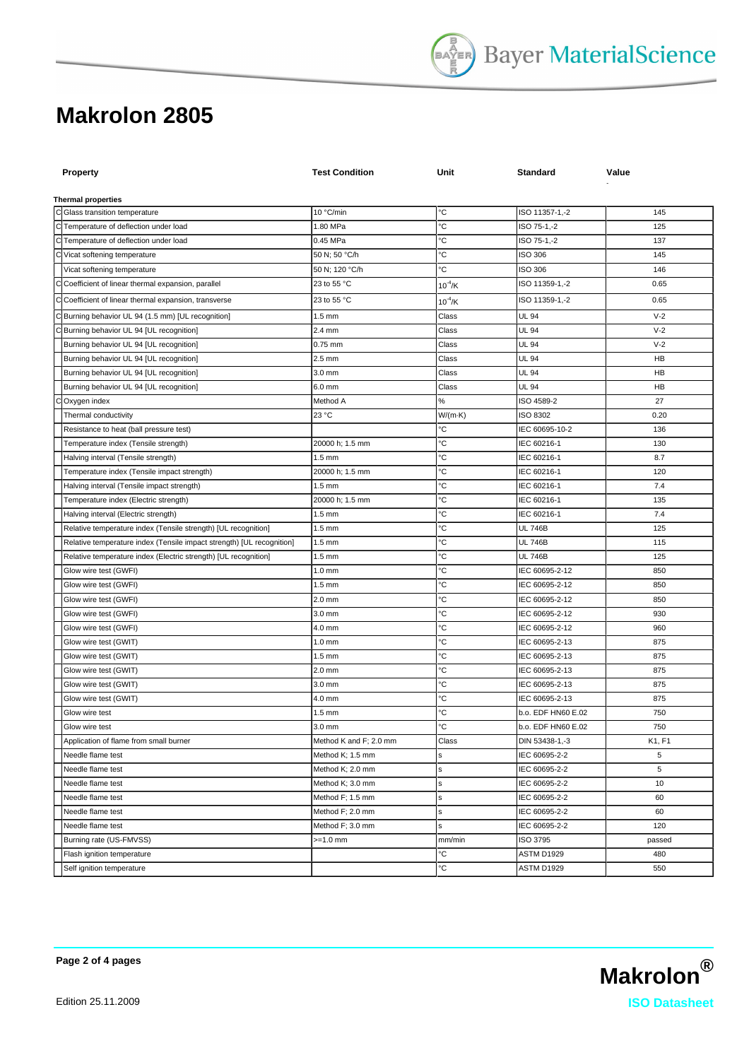| <b>Property</b>                                                       | <b>Test Condition</b>  | Unit                | Standard           | Value     |
|-----------------------------------------------------------------------|------------------------|---------------------|--------------------|-----------|
| <b>Thermal properties</b>                                             |                        |                     |                    |           |
| C Glass transition temperature                                        | 10 °C/min              | °C                  | ISO 11357-1,-2     | 145       |
| C Temperature of deflection under load                                | 1.80 MPa               | °C                  | ISO 75-1,-2        | 125       |
| C Temperature of deflection under load                                | 0.45 MPa               | °C                  | ISO 75-1,-2        | 137       |
| C Vicat softening temperature                                         | 50 N; 50 °C/h          | °C                  | ISO 306            | 145       |
| Vicat softening temperature                                           | 50 N; 120 °C/h         | °C                  | ISO 306            | 146       |
| C Coefficient of linear thermal expansion, parallel                   | 23 to 55 °C            | $10^{-4}$ /K        | ISO 11359-1,-2     | 0.65      |
| C Coefficient of linear thermal expansion, transverse                 | 23 to 55 °C            | $10^{-4}$ /K        | ISO 11359-1,-2     | 0.65      |
| C Burning behavior UL 94 (1.5 mm) [UL recognition]                    | $1.5 \text{ mm}$       | Class               | UL 94              | $V-2$     |
| C Burning behavior UL 94 [UL recognition]                             | 2.4 mm                 | Class               | <b>UL 94</b>       | $V-2$     |
| Burning behavior UL 94 [UL recognition]                               | $0.75$ mm              | Class               | UL 94              | $V-2$     |
| Burning behavior UL 94 [UL recognition]                               | $2.5$ mm               | Class               | UL 94              | <b>HB</b> |
| Burning behavior UL 94 [UL recognition]                               | 3.0 mm                 | Class               | UL 94              | HB        |
| Burning behavior UL 94 [UL recognition]                               | 6.0 mm                 | Class               | <b>UL 94</b>       | HB        |
| Oxygen index                                                          | Method A               | $\%$                | ISO 4589-2         | 27        |
| Thermal conductivity                                                  | 23 °C                  | $W/(m \cdot K)$     | <b>ISO 8302</b>    | 0.20      |
| Resistance to heat (ball pressure test)                               |                        | °C                  | IEC 60695-10-2     | 136       |
| Temperature index (Tensile strength)                                  | 20000 h; 1.5 mm        | °C                  | IEC 60216-1        | 130       |
| Halving interval (Tensile strength)                                   | $1.5 \text{ mm}$       | °C                  | IEC 60216-1        | 8.7       |
| Temperature index (Tensile impact strength)                           | 20000 h; 1.5 mm        | °C                  | IEC 60216-1        | 120       |
| Halving interval (Tensile impact strength)                            | $1.5 \text{ mm}$       | °C                  | IEC 60216-1        | 7.4       |
| Temperature index (Electric strength)                                 | 20000 h; 1.5 mm        | °C                  | IEC 60216-1        | 135       |
| Halving interval (Electric strength)                                  | $1.5 \text{ mm}$       | °C                  | IEC 60216-1        | 7.4       |
| Relative temperature index (Tensile strength) [UL recognition]        | $1.5 \text{ mm}$       | °C                  | <b>UL 746B</b>     | 125       |
| Relative temperature index (Tensile impact strength) [UL recognition] | 1.5 mm                 | °C                  | <b>UL 746B</b>     | 115       |
| Relative temperature index (Electric strength) [UL recognition]       | $1.5 \text{ mm}$       | °C                  | UL 746B            | 125       |
| Glow wire test (GWFI)                                                 | $1.0 \text{ mm}$       | °C                  | IEC 60695-2-12     | 850       |
| Glow wire test (GWFI)                                                 | $1.5 \text{ mm}$       | °C                  | IEC 60695-2-12     | 850       |
| Glow wire test (GWFI)                                                 | 2.0 mm                 | °C                  | IEC 60695-2-12     | 850       |
| Glow wire test (GWFI)                                                 | 3.0 mm                 | °C                  | IEC 60695-2-12     | 930       |
| Glow wire test (GWFI)                                                 | 4.0 mm                 | °C                  | IEC 60695-2-12     | 960       |
| Glow wire test (GWIT)                                                 | 1.0 <sub>mm</sub>      | °C                  | IEC 60695-2-13     | 875       |
| Glow wire test (GWIT)                                                 | $1.5 \text{ mm}$       | °C                  | IEC 60695-2-13     | 875       |
| Glow wire test (GWIT)                                                 | 2.0 mm                 | °C                  | IEC 60695-2-13     | 875       |
| Glow wire test (GWIT)                                                 | 3.0 mm                 | °C                  | IEC 60695-2-13     | 875       |
| Glow wire test (GWIT)                                                 | 4.0 mm                 | °C                  | IEC 60695-2-13     | 875       |
| Glow wire test                                                        | $1.5 \text{ mm}$       | °C                  | b.o. EDF HN60 E.02 | 750       |
| Glow wire test                                                        | $3.0 \text{ mm}$       | $^{\circ} \text{C}$ | b.o. EDF HN60 E.02 | 750       |
| Application of flame from small burner                                | Method K and F; 2.0 mm | Class               | DIN 53438-1,-3     | K1, F1    |
| Needle flame test                                                     | Method K; 1.5 mm       | s                   | IEC 60695-2-2      | 5         |
| Needle flame test                                                     | Method K; 2.0 mm       | s                   | IEC 60695-2-2      | 5         |
| Needle flame test                                                     | Method K; 3.0 mm       | s                   | IEC 60695-2-2      | 10        |
| Needle flame test                                                     | Method F; 1.5 mm       | s                   | IEC 60695-2-2      | 60        |
| Needle flame test                                                     | Method F; 2.0 mm       | s                   | IEC 60695-2-2      | 60        |
| Needle flame test                                                     | Method F; 3.0 mm       | s                   | IEC 60695-2-2      | 120       |
| Burning rate (US-FMVSS)                                               | $>=1.0$ mm             | mm/min              | ISO 3795           | passed    |
| Flash ignition temperature                                            |                        | °C                  | ASTM D1929         | 480       |
| Self ignition temperature                                             |                        | °C                  | ASTM D1929         | 550       |

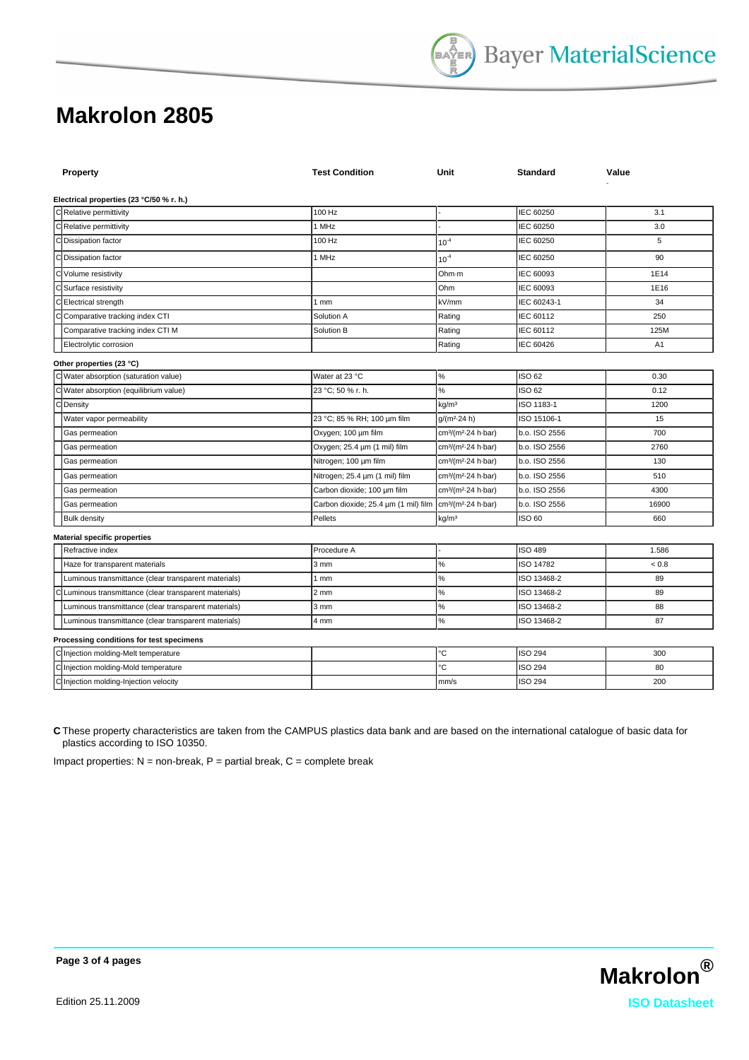| Property                                                  | <b>Test Condition</b>                | Unit                                        | <b>Standard</b> | Value |
|-----------------------------------------------------------|--------------------------------------|---------------------------------------------|-----------------|-------|
| Electrical properties (23 °C/50 % r. h.)                  |                                      |                                             |                 |       |
| C Relative permittivity                                   | 100 Hz                               |                                             | IEC 60250       | 3.1   |
| C Relative permittivity                                   | 1 MHz                                |                                             | IEC 60250       | 3.0   |
| C Dissipation factor                                      | 100 Hz                               | $10^{-4}$                                   | IEC 60250       | 5     |
| C Dissipation factor                                      | 1 MHz                                | $10^{-4}$                                   | IEC 60250       | 90    |
| C Volume resistivity                                      |                                      | Ohm-m                                       | IEC 60093       | 1E14  |
| C Surface resistivity                                     |                                      | Ohm                                         | IEC 60093       | 1E16  |
| C Electrical strength                                     | 1 <sub>mm</sub>                      | kV/mm                                       | IEC 60243-1     | 34    |
| Comparative tracking index CTI<br>Cl                      | Solution A                           | Rating                                      | IEC 60112       | 250   |
| Comparative tracking index CTI M                          | Solution B                           | Rating                                      | IEC 60112       | 125M  |
| Electrolytic corrosion                                    |                                      | Rating                                      | IEC 60426       | A1    |
| Other properties (23 °C)                                  |                                      |                                             |                 |       |
| C Water absorption (saturation value)                     | Water at 23 °C                       | $\%$                                        | ISO 62          | 0.30  |
| cl<br>Water absorption (equilibrium value)                | 23 °C; 50 % r. h.                    | %                                           | ISO 62          | 0.12  |
| C Density                                                 |                                      | kg/m <sup>3</sup>                           | ISO 1183-1      | 1200  |
| Water vapor permeability                                  | 23 °C; 85 % RH; 100 µm film          | $g/(m^2.24 h)$                              | ISO 15106-1     | 15    |
| Gas permeation                                            | Oxygen; 100 µm film                  | cm <sup>3</sup> /(m <sup>2</sup> -24 h-bar) | b.o. ISO 2556   | 700   |
| Gas permeation                                            | Oxygen; 25.4 µm (1 mil) film         | cm <sup>3</sup> /(m <sup>2</sup> -24 h-bar) | b.o. ISO 2556   | 2760  |
| Gas permeation                                            | Nitrogen; 100 um film                | cm <sup>3</sup> /(m <sup>2</sup> -24 h-bar) | b.o. ISO 2556   | 130   |
| Gas permeation                                            | Nitrogen; 25.4 um (1 mil) film       | cm <sup>3</sup> /(m <sup>2</sup> -24 h-bar) | b.o. ISO 2556   | 510   |
| Gas permeation                                            | Carbon dioxide; 100 um film          | cm <sup>3</sup> /(m <sup>2</sup> -24 h-bar) | b.o. ISO 2556   | 4300  |
| Gas permeation                                            | Carbon dioxide; 25.4 um (1 mil) film | cm <sup>3</sup> /(m <sup>2</sup> -24 h-bar) | b.o. ISO 2556   | 16900 |
| <b>Bulk density</b>                                       | Pellets                              | kg/m <sup>3</sup>                           | ISO 60          | 660   |
| <b>Material specific properties</b>                       |                                      |                                             |                 |       |
| Refractive index                                          | Procedure A                          |                                             | <b>ISO 489</b>  | 1.586 |
| Haze for transparent materials                            | 3 mm                                 | $\%$                                        | ISO 14782       | < 0.8 |
| Luminous transmittance (clear transparent materials)      | 1 <sub>mm</sub>                      | $\%$                                        | ISO 13468-2     | 89    |
| c<br>Luminous transmittance (clear transparent materials) | 2 <sub>mm</sub>                      | %                                           | ISO 13468-2     | 89    |
| Luminous transmittance (clear transparent materials)      | 3 mm                                 | %                                           | ISO 13468-2     | 88    |
| Luminous transmittance (clear transparent materials)      | 4 mm                                 | $\%$                                        | ISO 13468-2     | 87    |
| Processing conditions for test specimens                  |                                      |                                             |                 |       |
| C Injection molding-Melt temperature                      |                                      | с                                           | <b>ISO 294</b>  | 300   |
| C Injection molding-Mold temperature                      |                                      | с                                           | <b>ISO 294</b>  | 80    |
| C Injection molding-Injection velocity                    |                                      | mm/s                                        | <b>ISO 294</b>  | 200   |

**C** These property characteristics are taken from the CAMPUS plastics data bank and are based on the international catalogue of basic data for plastics according to ISO 10350.

Impact properties:  $N =$  non-break,  $P =$  partial break,  $C =$  complete break



**Page 3 of 4 pages**